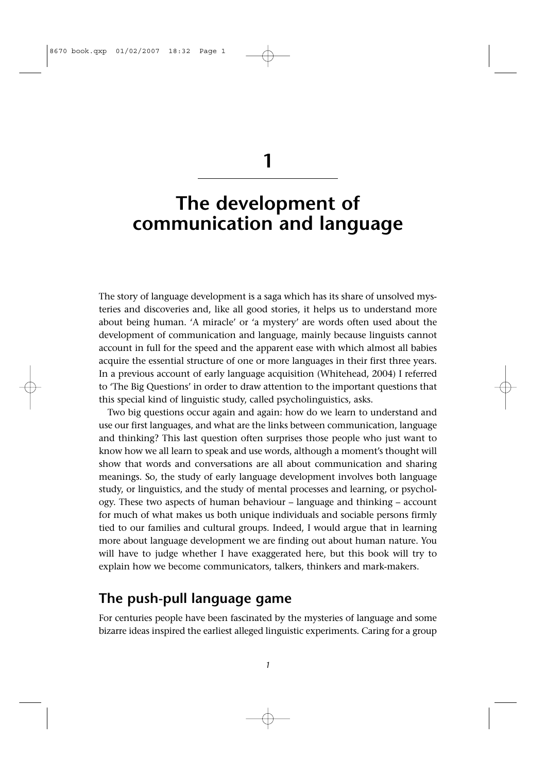**The development of communication and language**

**1**

The story of language development is a saga which has its share of unsolved mysteries and discoveries and, like all good stories, it helps us to understand more about being human. 'A miracle' or 'a mystery' are words often used about the development of communication and language, mainly because linguists cannot account in full for the speed and the apparent ease with which almost all babies acquire the essential structure of one or more languages in their first three years. In a previous account of early language acquisition (Whitehead, 2004) I referred to 'The Big Questions' in order to draw attention to the important questions that this special kind of linguistic study, called psycholinguistics, asks.

Two big questions occur again and again: how do we learn to understand and use our first languages, and what are the links between communication, language and thinking? This last question often surprises those people who just want to know how we all learn to speak and use words, although a moment's thought will show that words and conversations are all about communication and sharing meanings. So, the study of early language development involves both language study, or linguistics, and the study of mental processes and learning, or psychology. These two aspects of human behaviour – language and thinking – account for much of what makes us both unique individuals and sociable persons firmly tied to our families and cultural groups. Indeed, I would argue that in learning more about language development we are finding out about human nature. You will have to judge whether I have exaggerated here, but this book will try to explain how we become communicators, talkers, thinkers and mark-makers.

# **The push-pull language game**

For centuries people have been fascinated by the mysteries of language and some bizarre ideas inspired the earliest alleged linguistic experiments. Caring for a group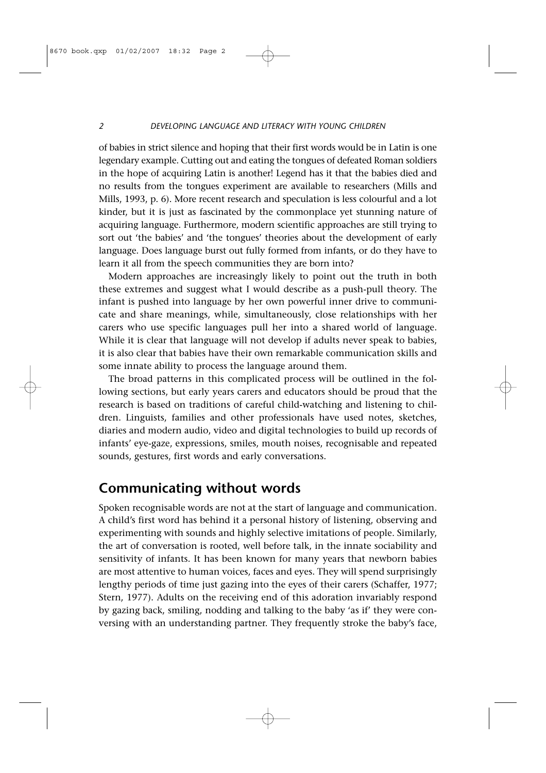of babies in strict silence and hoping that their first words would be in Latin is one legendary example. Cutting out and eating the tongues of defeated Roman soldiers in the hope of acquiring Latin is another! Legend has it that the babies died and no results from the tongues experiment are available to researchers (Mills and Mills, 1993, p. 6). More recent research and speculation is less colourful and a lot kinder, but it is just as fascinated by the commonplace yet stunning nature of acquiring language. Furthermore, modern scientific approaches are still trying to sort out 'the babies' and 'the tongues' theories about the development of early language. Does language burst out fully formed from infants, or do they have to learn it all from the speech communities they are born into?

Modern approaches are increasingly likely to point out the truth in both these extremes and suggest what I would describe as a push-pull theory. The infant is pushed into language by her own powerful inner drive to communicate and share meanings, while, simultaneously, close relationships with her carers who use specific languages pull her into a shared world of language. While it is clear that language will not develop if adults never speak to babies, it is also clear that babies have their own remarkable communication skills and some innate ability to process the language around them.

The broad patterns in this complicated process will be outlined in the following sections, but early years carers and educators should be proud that the research is based on traditions of careful child-watching and listening to children. Linguists, families and other professionals have used notes, sketches, diaries and modern audio, video and digital technologies to build up records of infants' eye-gaze, expressions, smiles, mouth noises, recognisable and repeated sounds, gestures, first words and early conversations.

# **Communicating without words**

Spoken recognisable words are not at the start of language and communication. A child's first word has behind it a personal history of listening, observing and experimenting with sounds and highly selective imitations of people. Similarly, the art of conversation is rooted, well before talk, in the innate sociability and sensitivity of infants. It has been known for many years that newborn babies are most attentive to human voices, faces and eyes. They will spend surprisingly lengthy periods of time just gazing into the eyes of their carers (Schaffer, 1977; Stern, 1977). Adults on the receiving end of this adoration invariably respond by gazing back, smiling, nodding and talking to the baby 'as if' they were conversing with an understanding partner. They frequently stroke the baby's face,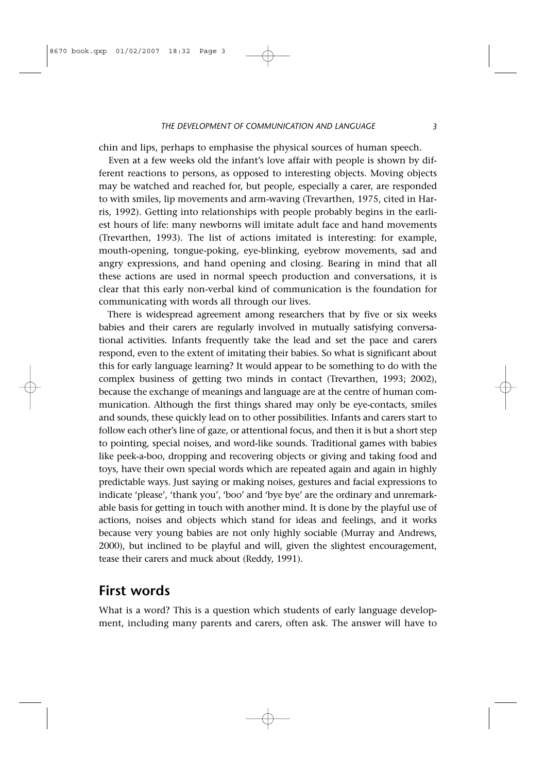chin and lips, perhaps to emphasise the physical sources of human speech.

Even at a few weeks old the infant's love affair with people is shown by different reactions to persons, as opposed to interesting objects. Moving objects may be watched and reached for, but people, especially a carer, are responded to with smiles, lip movements and arm-waving (Trevarthen, 1975, cited in Harris, 1992). Getting into relationships with people probably begins in the earliest hours of life: many newborns will imitate adult face and hand movements (Trevarthen, 1993). The list of actions imitated is interesting: for example, mouth-opening, tongue-poking, eye-blinking, eyebrow movements, sad and angry expressions, and hand opening and closing. Bearing in mind that all these actions are used in normal speech production and conversations, it is clear that this early non-verbal kind of communication is the foundation for communicating with words all through our lives.

There is widespread agreement among researchers that by five or six weeks babies and their carers are regularly involved in mutually satisfying conversational activities. Infants frequently take the lead and set the pace and carers respond, even to the extent of imitating their babies. So what is significant about this for early language learning? It would appear to be something to do with the complex business of getting two minds in contact (Trevarthen, 1993; 2002), because the exchange of meanings and language are at the centre of human communication. Although the first things shared may only be eye-contacts, smiles and sounds, these quickly lead on to other possibilities. Infants and carers start to follow each other's line of gaze, or attentional focus, and then it is but a short step to pointing, special noises, and word-like sounds. Traditional games with babies like peek-a-boo, dropping and recovering objects or giving and taking food and toys, have their own special words which are repeated again and again in highly predictable ways. Just saying or making noises, gestures and facial expressions to indicate 'please', 'thank you', 'boo' and 'bye bye' are the ordinary and unremarkable basis for getting in touch with another mind. It is done by the playful use of actions, noises and objects which stand for ideas and feelings, and it works because very young babies are not only highly sociable (Murray and Andrews, 2000), but inclined to be playful and will, given the slightest encouragement, tease their carers and muck about (Reddy, 1991).

# **First words**

What is a word? This is a question which students of early language development, including many parents and carers, often ask. The answer will have to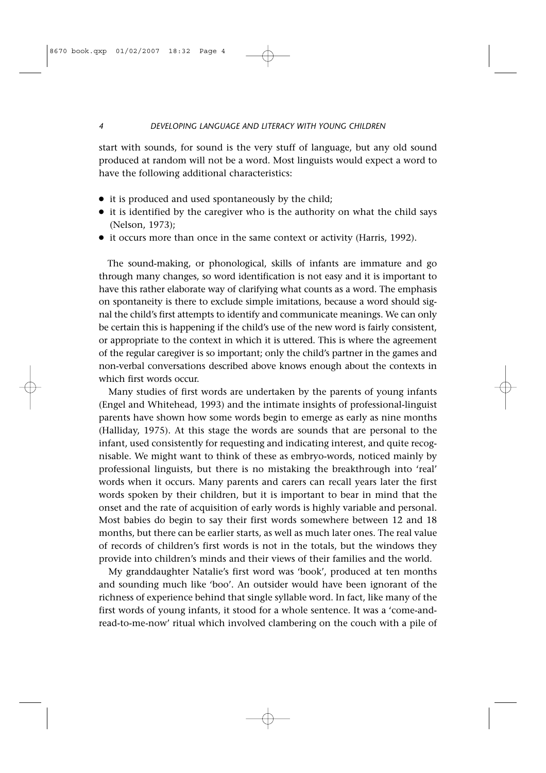start with sounds, for sound is the very stuff of language, but any old sound produced at random will not be a word. Most linguists would expect a word to have the following additional characteristics:

- it is produced and used spontaneously by the child;
- it is identified by the caregiver who is the authority on what the child says (Nelson, 1973);
- it occurs more than once in the same context or activity (Harris, 1992).

The sound-making, or phonological, skills of infants are immature and go through many changes, so word identification is not easy and it is important to have this rather elaborate way of clarifying what counts as a word. The emphasis on spontaneity is there to exclude simple imitations, because a word should signal the child's first attempts to identify and communicate meanings. We can only be certain this is happening if the child's use of the new word is fairly consistent, or appropriate to the context in which it is uttered. This is where the agreement of the regular caregiver is so important; only the child's partner in the games and non-verbal conversations described above knows enough about the contexts in which first words occur.

Many studies of first words are undertaken by the parents of young infants (Engel and Whitehead, 1993) and the intimate insights of professional-linguist parents have shown how some words begin to emerge as early as nine months (Halliday, 1975). At this stage the words are sounds that are personal to the infant, used consistently for requesting and indicating interest, and quite recognisable. We might want to think of these as embryo-words, noticed mainly by professional linguists, but there is no mistaking the breakthrough into 'real' words when it occurs. Many parents and carers can recall years later the first words spoken by their children, but it is important to bear in mind that the onset and the rate of acquisition of early words is highly variable and personal. Most babies do begin to say their first words somewhere between 12 and 18 months, but there can be earlier starts, as well as much later ones. The real value of records of children's first words is not in the totals, but the windows they provide into children's minds and their views of their families and the world.

My granddaughter Natalie's first word was 'book', produced at ten months and sounding much like 'boo'. An outsider would have been ignorant of the richness of experience behind that single syllable word. In fact, like many of the first words of young infants, it stood for a whole sentence. It was a 'come-andread-to-me-now' ritual which involved clambering on the couch with a pile of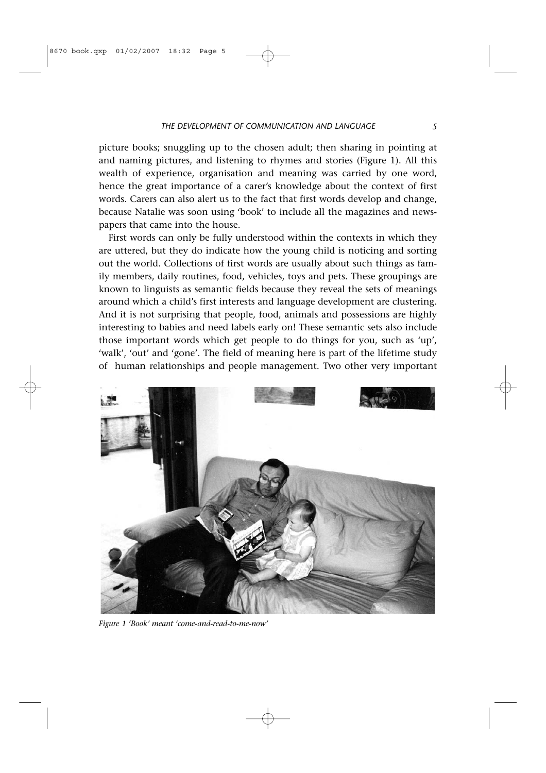picture books; snuggling up to the chosen adult; then sharing in pointing at and naming pictures, and listening to rhymes and stories (Figure 1). All this wealth of experience, organisation and meaning was carried by one word, hence the great importance of a carer's knowledge about the context of first words. Carers can also alert us to the fact that first words develop and change, because Natalie was soon using 'book' to include all the magazines and newspapers that came into the house.

First words can only be fully understood within the contexts in which they are uttered, but they do indicate how the young child is noticing and sorting out the world. Collections of first words are usually about such things as family members, daily routines, food, vehicles, toys and pets. These groupings are known to linguists as semantic fields because they reveal the sets of meanings around which a child's first interests and language development are clustering. And it is not surprising that people, food, animals and possessions are highly interesting to babies and need labels early on! These semantic sets also include those important words which get people to do things for you, such as 'up', 'walk', 'out' and 'gone'. The field of meaning here is part of the lifetime study of human relationships and people management. Two other very important



*Figure 1 'Book' meant 'come-and-read-to-me-now'*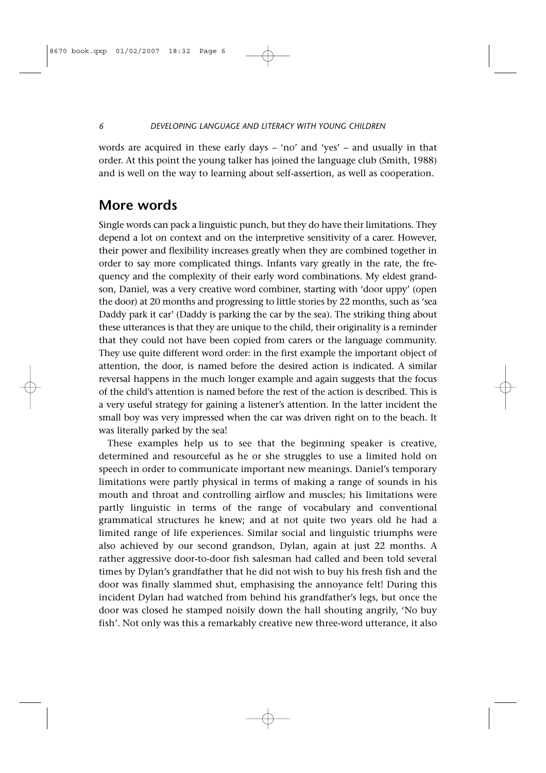words are acquired in these early days – 'no' and 'yes' – and usually in that order. At this point the young talker has joined the language club (Smith, 1988) and is well on the way to learning about self-assertion, as well as cooperation.

# **More words**

Single words can pack a linguistic punch, but they do have their limitations. They depend a lot on context and on the interpretive sensitivity of a carer. However, their power and flexibility increases greatly when they are combined together in order to say more complicated things. Infants vary greatly in the rate, the frequency and the complexity of their early word combinations. My eldest grandson, Daniel, was a very creative word combiner, starting with 'door uppy' (open the door) at 20 months and progressing to little stories by 22 months, such as 'sea Daddy park it car' (Daddy is parking the car by the sea). The striking thing about these utterances is that they are unique to the child, their originality is a reminder that they could not have been copied from carers or the language community. They use quite different word order: in the first example the important object of attention, the door, is named before the desired action is indicated. A similar reversal happens in the much longer example and again suggests that the focus of the child's attention is named before the rest of the action is described. This is a very useful strategy for gaining a listener's attention. In the latter incident the small boy was very impressed when the car was driven right on to the beach. It was literally parked by the sea!

These examples help us to see that the beginning speaker is creative, determined and resourceful as he or she struggles to use a limited hold on speech in order to communicate important new meanings. Daniel's temporary limitations were partly physical in terms of making a range of sounds in his mouth and throat and controlling airflow and muscles; his limitations were partly linguistic in terms of the range of vocabulary and conventional grammatical structures he knew; and at not quite two years old he had a limited range of life experiences. Similar social and linguistic triumphs were also achieved by our second grandson, Dylan, again at just 22 months. A rather aggressive door-to-door fish salesman had called and been told several times by Dylan's grandfather that he did not wish to buy his fresh fish and the door was finally slammed shut, emphasising the annoyance felt! During this incident Dylan had watched from behind his grandfather's legs, but once the door was closed he stamped noisily down the hall shouting angrily, 'No buy fish'. Not only was this a remarkably creative new three-word utterance, it also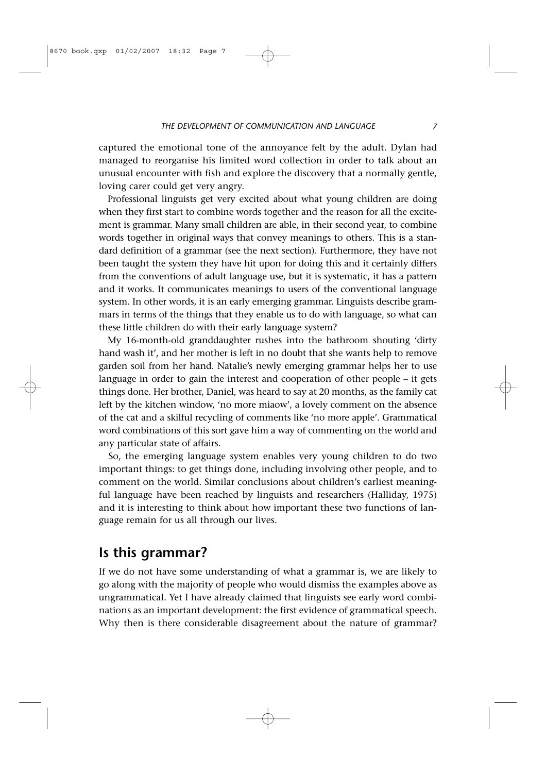captured the emotional tone of the annoyance felt by the adult. Dylan had managed to reorganise his limited word collection in order to talk about an unusual encounter with fish and explore the discovery that a normally gentle, loving carer could get very angry.

Professional linguists get very excited about what young children are doing when they first start to combine words together and the reason for all the excitement is grammar. Many small children are able, in their second year, to combine words together in original ways that convey meanings to others. This is a standard definition of a grammar (see the next section). Furthermore, they have not been taught the system they have hit upon for doing this and it certainly differs from the conventions of adult language use, but it is systematic, it has a pattern and it works. It communicates meanings to users of the conventional language system. In other words, it is an early emerging grammar. Linguists describe grammars in terms of the things that they enable us to do with language, so what can these little children do with their early language system?

My 16-month-old granddaughter rushes into the bathroom shouting 'dirty hand wash it', and her mother is left in no doubt that she wants help to remove garden soil from her hand. Natalie's newly emerging grammar helps her to use language in order to gain the interest and cooperation of other people – it gets things done. Her brother, Daniel, was heard to say at 20 months, as the family cat left by the kitchen window, 'no more miaow', a lovely comment on the absence of the cat and a skilful recycling of comments like 'no more apple'. Grammatical word combinations of this sort gave him a way of commenting on the world and any particular state of affairs.

So, the emerging language system enables very young children to do two important things: to get things done, including involving other people, and to comment on the world. Similar conclusions about children's earliest meaningful language have been reached by linguists and researchers (Halliday, 1975) and it is interesting to think about how important these two functions of language remain for us all through our lives.

# **Is this grammar?**

If we do not have some understanding of what a grammar is, we are likely to go along with the majority of people who would dismiss the examples above as ungrammatical. Yet I have already claimed that linguists see early word combinations as an important development: the first evidence of grammatical speech. Why then is there considerable disagreement about the nature of grammar?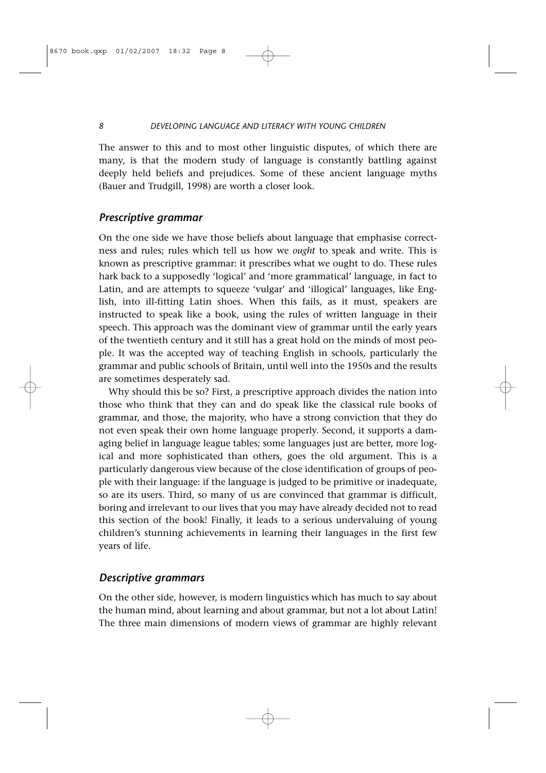The answer to this and to most other linguistic disputes, of which there are many, is that the modern study of language is constantly battling against deeply held beliefs and prejudices. Some of these ancient language myths (Bauer and Trudgill, 1998) are worth a closer look.

#### *Prescriptive grammar*

On the one side we have those beliefs about language that emphasise correctness and rules; rules which tell us how we *ought* to speak and write. This is known as prescriptive grammar: it prescribes what we ought to do. These rules hark back to a supposedly 'logical' and 'more grammatical' language, in fact to Latin, and are attempts to squeeze 'vulgar' and 'illogical' languages, like English, into ill-fitting Latin shoes. When this fails, as it must, speakers are instructed to speak like a book, using the rules of written language in their speech. This approach was the dominant view of grammar until the early years of the twentieth century and it still has a great hold on the minds of most people. It was the accepted way of teaching English in schools, particularly the grammar and public schools of Britain, until well into the 1950s and the results are sometimes desperately sad.

Why should this be so? First, a prescriptive approach divides the nation into those who think that they can and do speak like the classical rule books of grammar, and those, the majority, who have a strong conviction that they do not even speak their own home language properly. Second, it supports a damaging belief in language league tables; some languages just are better, more logical and more sophisticated than others, goes the old argument. This is a particularly dangerous view because of the close identification of groups of people with their language: if the language is judged to be primitive or inadequate, so are its users. Third, so many of us are convinced that grammar is difficult, boring and irrelevant to our lives that you may have already decided not to read this section of the book! Finally, it leads to a serious undervaluing of young children's stunning achievements in learning their languages in the first few years of life.

# *Descriptive grammars*

On the other side, however, is modern linguistics which has much to say about the human mind, about learning and about grammar, but not a lot about Latin! The three main dimensions of modern views of grammar are highly relevant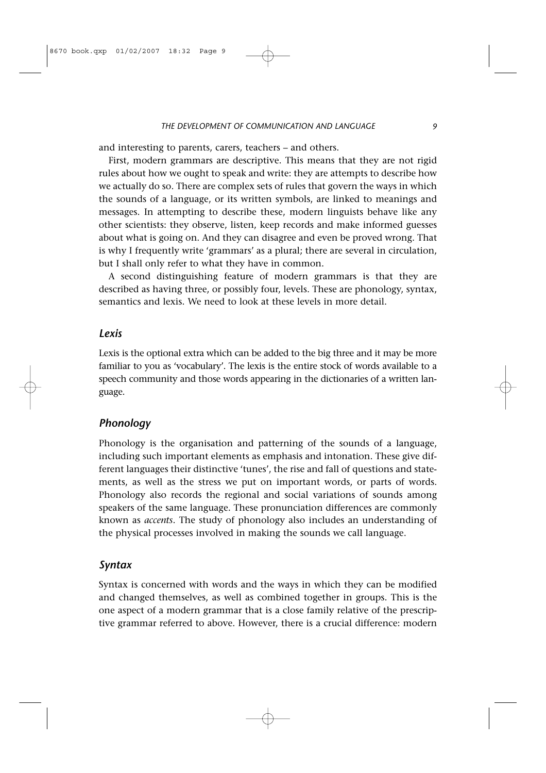and interesting to parents, carers, teachers – and others.

First, modern grammars are descriptive. This means that they are not rigid rules about how we ought to speak and write: they are attempts to describe how we actually do so. There are complex sets of rules that govern the ways in which the sounds of a language, or its written symbols, are linked to meanings and messages. In attempting to describe these, modern linguists behave like any other scientists: they observe, listen, keep records and make informed guesses about what is going on. And they can disagree and even be proved wrong. That is why I frequently write 'grammars' as a plural; there are several in circulation, but I shall only refer to what they have in common.

A second distinguishing feature of modern grammars is that they are described as having three, or possibly four, levels. These are phonology, syntax, semantics and lexis. We need to look at these levels in more detail.

## *Lexis*

Lexis is the optional extra which can be added to the big three and it may be more familiar to you as 'vocabulary'. The lexis is the entire stock of words available to a speech community and those words appearing in the dictionaries of a written language.

# *Phonology*

Phonology is the organisation and patterning of the sounds of a language, including such important elements as emphasis and intonation. These give different languages their distinctive 'tunes', the rise and fall of questions and statements, as well as the stress we put on important words, or parts of words. Phonology also records the regional and social variations of sounds among speakers of the same language. These pronunciation differences are commonly known as *accents*. The study of phonology also includes an understanding of the physical processes involved in making the sounds we call language.

## *Syntax*

Syntax is concerned with words and the ways in which they can be modified and changed themselves, as well as combined together in groups. This is the one aspect of a modern grammar that is a close family relative of the prescriptive grammar referred to above. However, there is a crucial difference: modern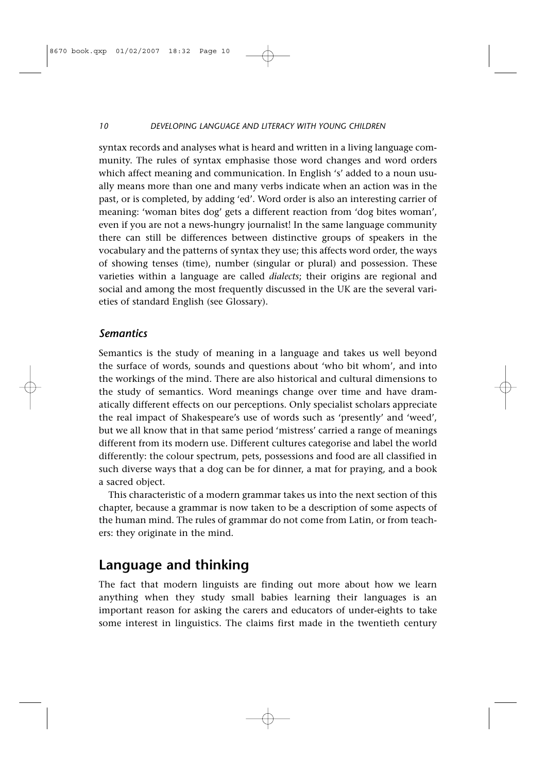syntax records and analyses what is heard and written in a living language community. The rules of syntax emphasise those word changes and word orders which affect meaning and communication. In English 's' added to a noun usually means more than one and many verbs indicate when an action was in the past, or is completed, by adding 'ed'. Word order is also an interesting carrier of meaning: 'woman bites dog' gets a different reaction from 'dog bites woman', even if you are not a news-hungry journalist! In the same language community there can still be differences between distinctive groups of speakers in the vocabulary and the patterns of syntax they use; this affects word order, the ways of showing tenses (time), number (singular or plural) and possession. These varieties within a language are called *dialects*; their origins are regional and social and among the most frequently discussed in the UK are the several varieties of standard English (see Glossary).

## *Semantics*

Semantics is the study of meaning in a language and takes us well beyond the surface of words, sounds and questions about 'who bit whom', and into the workings of the mind. There are also historical and cultural dimensions to the study of semantics. Word meanings change over time and have dramatically different effects on our perceptions. Only specialist scholars appreciate the real impact of Shakespeare's use of words such as 'presently' and 'weed', but we all know that in that same period 'mistress' carried a range of meanings different from its modern use. Different cultures categorise and label the world differently: the colour spectrum, pets, possessions and food are all classified in such diverse ways that a dog can be for dinner, a mat for praying, and a book a sacred object.

This characteristic of a modern grammar takes us into the next section of this chapter, because a grammar is now taken to be a description of some aspects of the human mind. The rules of grammar do not come from Latin, or from teachers: they originate in the mind.

# **Language and thinking**

The fact that modern linguists are finding out more about how we learn anything when they study small babies learning their languages is an important reason for asking the carers and educators of under-eights to take some interest in linguistics. The claims first made in the twentieth century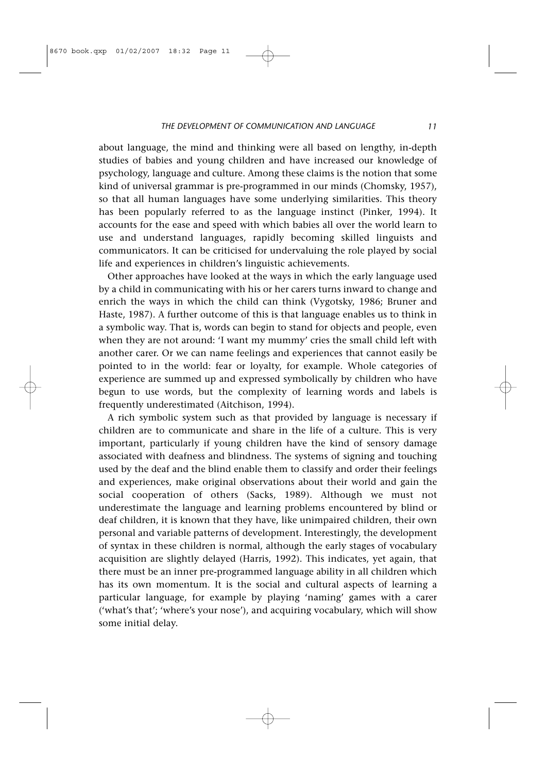about language, the mind and thinking were all based on lengthy, in-depth studies of babies and young children and have increased our knowledge of psychology, language and culture. Among these claims is the notion that some kind of universal grammar is pre-programmed in our minds (Chomsky, 1957), so that all human languages have some underlying similarities. This theory has been popularly referred to as the language instinct (Pinker, 1994). It accounts for the ease and speed with which babies all over the world learn to use and understand languages, rapidly becoming skilled linguists and communicators. It can be criticised for undervaluing the role played by social life and experiences in children's linguistic achievements.

Other approaches have looked at the ways in which the early language used by a child in communicating with his or her carers turns inward to change and enrich the ways in which the child can think (Vygotsky, 1986; Bruner and Haste, 1987). A further outcome of this is that language enables us to think in a symbolic way. That is, words can begin to stand for objects and people, even when they are not around: 'I want my mummy' cries the small child left with another carer. Or we can name feelings and experiences that cannot easily be pointed to in the world: fear or loyalty, for example. Whole categories of experience are summed up and expressed symbolically by children who have begun to use words, but the complexity of learning words and labels is frequently underestimated (Aitchison, 1994).

A rich symbolic system such as that provided by language is necessary if children are to communicate and share in the life of a culture. This is very important, particularly if young children have the kind of sensory damage associated with deafness and blindness. The systems of signing and touching used by the deaf and the blind enable them to classify and order their feelings and experiences, make original observations about their world and gain the social cooperation of others (Sacks, 1989). Although we must not underestimate the language and learning problems encountered by blind or deaf children, it is known that they have, like unimpaired children, their own personal and variable patterns of development. Interestingly, the development of syntax in these children is normal, although the early stages of vocabulary acquisition are slightly delayed (Harris, 1992). This indicates, yet again, that there must be an inner pre-programmed language ability in all children which has its own momentum. It is the social and cultural aspects of learning a particular language, for example by playing 'naming' games with a carer ('what's that'; 'where's your nose'), and acquiring vocabulary, which will show some initial delay.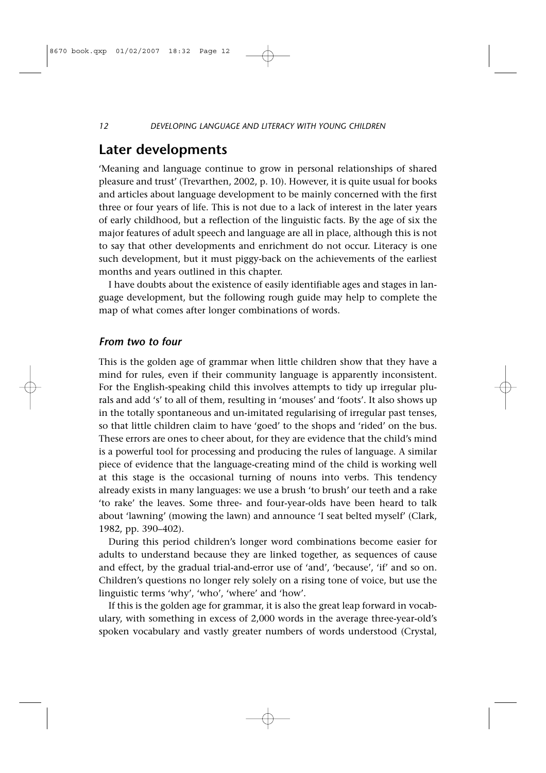# **Later developments**

'Meaning and language continue to grow in personal relationships of shared pleasure and trust' (Trevarthen, 2002, p. 10). However, it is quite usual for books and articles about language development to be mainly concerned with the first three or four years of life. This is not due to a lack of interest in the later years of early childhood, but a reflection of the linguistic facts. By the age of six the major features of adult speech and language are all in place, although this is not to say that other developments and enrichment do not occur. Literacy is one such development, but it must piggy-back on the achievements of the earliest months and years outlined in this chapter.

I have doubts about the existence of easily identifiable ages and stages in language development, but the following rough guide may help to complete the map of what comes after longer combinations of words.

## *From two to four*

This is the golden age of grammar when little children show that they have a mind for rules, even if their community language is apparently inconsistent. For the English-speaking child this involves attempts to tidy up irregular plurals and add 's' to all of them, resulting in 'mouses' and 'foots'. It also shows up in the totally spontaneous and un-imitated regularising of irregular past tenses, so that little children claim to have 'goed' to the shops and 'rided' on the bus. These errors are ones to cheer about, for they are evidence that the child's mind is a powerful tool for processing and producing the rules of language. A similar piece of evidence that the language-creating mind of the child is working well at this stage is the occasional turning of nouns into verbs. This tendency already exists in many languages: we use a brush 'to brush' our teeth and a rake 'to rake' the leaves. Some three- and four-year-olds have been heard to talk about 'lawning' (mowing the lawn) and announce 'I seat belted myself' (Clark, 1982, pp. 390–402).

During this period children's longer word combinations become easier for adults to understand because they are linked together, as sequences of cause and effect, by the gradual trial-and-error use of 'and', 'because', 'if' and so on. Children's questions no longer rely solely on a rising tone of voice, but use the linguistic terms 'why', 'who', 'where' and 'how'.

If this is the golden age for grammar, it is also the great leap forward in vocabulary, with something in excess of 2,000 words in the average three-year-old's spoken vocabulary and vastly greater numbers of words understood (Crystal,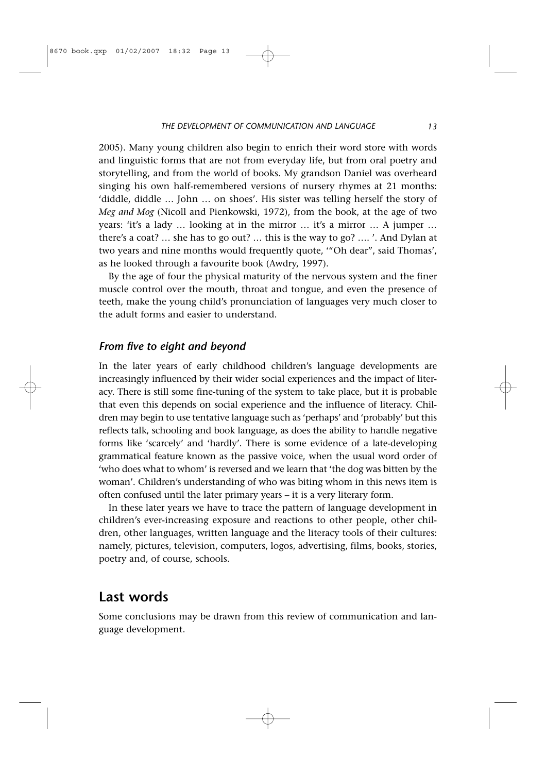2005). Many young children also begin to enrich their word store with words and linguistic forms that are not from everyday life, but from oral poetry and storytelling, and from the world of books. My grandson Daniel was overheard singing his own half-remembered versions of nursery rhymes at 21 months: 'diddle, diddle … John … on shoes'. His sister was telling herself the story of *Meg and Mog* (Nicoll and Pienkowski, 1972), from the book, at the age of two years: 'it's a lady … looking at in the mirror … it's a mirror … A jumper … there's a coat? … she has to go out? … this is the way to go? …. '. And Dylan at two years and nine months would frequently quote, '"Oh dear", said Thomas', as he looked through a favourite book (Awdry, 1997).

By the age of four the physical maturity of the nervous system and the finer muscle control over the mouth, throat and tongue, and even the presence of teeth, make the young child's pronunciation of languages very much closer to the adult forms and easier to understand.

### *From five to eight and beyond*

In the later years of early childhood children's language developments are increasingly influenced by their wider social experiences and the impact of literacy. There is still some fine-tuning of the system to take place, but it is probable that even this depends on social experience and the influence of literacy. Children may begin to use tentative language such as 'perhaps' and 'probably' but this reflects talk, schooling and book language, as does the ability to handle negative forms like 'scarcely' and 'hardly'. There is some evidence of a late-developing grammatical feature known as the passive voice, when the usual word order of 'who does what to whom' is reversed and we learn that 'the dog was bitten by the woman'. Children's understanding of who was biting whom in this news item is often confused until the later primary years – it is a very literary form.

In these later years we have to trace the pattern of language development in children's ever-increasing exposure and reactions to other people, other children, other languages, written language and the literacy tools of their cultures: namely, pictures, television, computers, logos, advertising, films, books, stories, poetry and, of course, schools.

# **Last words**

Some conclusions may be drawn from this review of communication and language development.